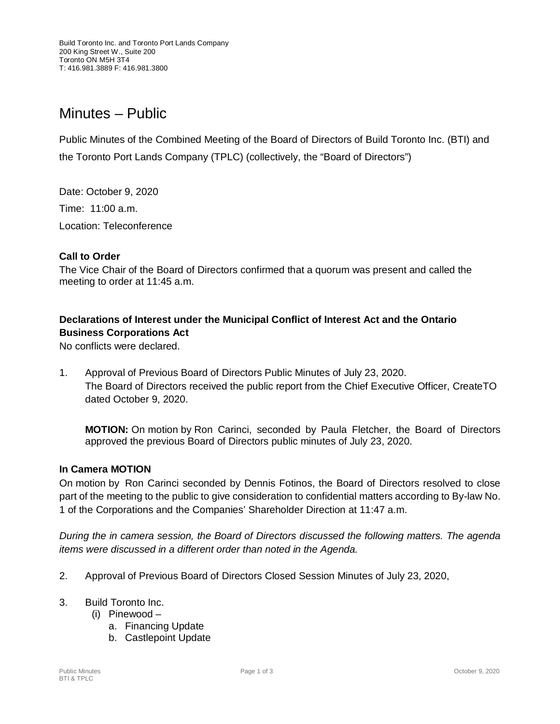# Minutes – Public

Public Minutes of the Combined Meeting of the Board of Directors of Build Toronto Inc. (BTI) and the Toronto Port Lands Company (TPLC) (collectively, the "Board of Directors")

Date: October 9, 2020 Time: 11:00 a.m. Location: Teleconference

### **Call to Order**

The Vice Chair of the Board of Directors confirmed that a quorum was present and called the meeting to order at 11:45 a.m.

## **Declarations of Interest under the Municipal Conflict of Interest Act and the Ontario Business Corporations Act**

No conflicts were declared.

1. Approval of Previous Board of Directors Public Minutes of July 23, 2020. The Board of Directors received the public report from the Chief Executive Officer, CreateTO dated October 9, 2020.

**MOTION:** On motion by Ron Carinci, seconded by Paula Fletcher, the Board of Directors approved the previous Board of Directors public minutes of July 23, 2020.

#### **In Camera MOTION**

On motion by Ron Carinci seconded by Dennis Fotinos, the Board of Directors resolved to close part of the meeting to the public to give consideration to confidential matters according to By-law No. 1 of the Corporations and the Companies' Shareholder Direction at 11:47 a.m.

*During the in camera session, the Board of Directors discussed the following matters. The agenda items were discussed in a different order than noted in the Agenda.*

- 2. Approval of Previous Board of Directors Closed Session Minutes of July 23, 2020,
- 3. Build Toronto Inc.
	- (i) Pinewood
		- a. Financing Update
		- b. Castlepoint Update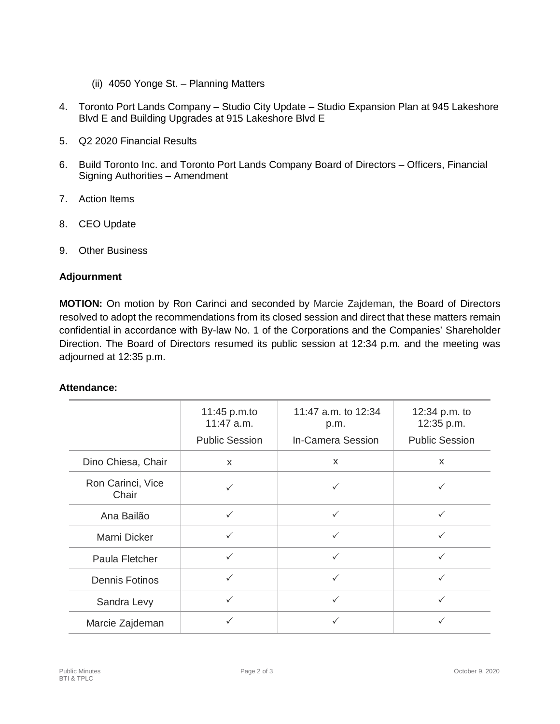- (ii) 4050 Yonge St. Planning Matters
- 4. Toronto Port Lands Company Studio City Update Studio Expansion Plan at 945 Lakeshore Blvd E and Building Upgrades at 915 Lakeshore Blvd E
- 5. Q2 2020 Financial Results
- 6. Build Toronto Inc. and Toronto Port Lands Company Board of Directors Officers, Financial Signing Authorities – Amendment
- 7. Action Items
- 8. CEO Update
- 9. Other Business

### **Adjournment**

**MOTION:** On motion by Ron Carinci and seconded by Marcie Zajdeman, the Board of Directors resolved to adopt the recommendations from its closed session and direct that these matters remain confidential in accordance with By-law No. 1 of the Corporations and the Companies' Shareholder Direction. The Board of Directors resumed its public session at 12:34 p.m. and the meeting was adjourned at 12:35 p.m.

#### **Attendance:**

|                            | 11:45 p.m.to<br>$11:47$ a.m.<br><b>Public Session</b> | 11:47 a.m. to 12:34<br>p.m.<br><b>In-Camera Session</b> | 12:34 p.m. to<br>12:35 p.m.<br><b>Public Session</b> |
|----------------------------|-------------------------------------------------------|---------------------------------------------------------|------------------------------------------------------|
| Dino Chiesa, Chair         | $\mathsf{x}$                                          | $\boldsymbol{\mathsf{x}}$                               | X                                                    |
| Ron Carinci, Vice<br>Chair |                                                       |                                                         |                                                      |
| Ana Bailão                 | $\checkmark$                                          | $\checkmark$                                            | $\checkmark$                                         |
| Marni Dicker               | $\checkmark$                                          | $\checkmark$                                            | $\checkmark$                                         |
| Paula Fletcher             | $\checkmark$                                          | $\checkmark$                                            | $\checkmark$                                         |
| <b>Dennis Fotinos</b>      | $\checkmark$                                          | $\checkmark$                                            | $\checkmark$                                         |
| Sandra Levy                | ✓                                                     | $\checkmark$                                            | $\checkmark$                                         |
| Marcie Zajdeman            | ✓                                                     |                                                         | ✓                                                    |